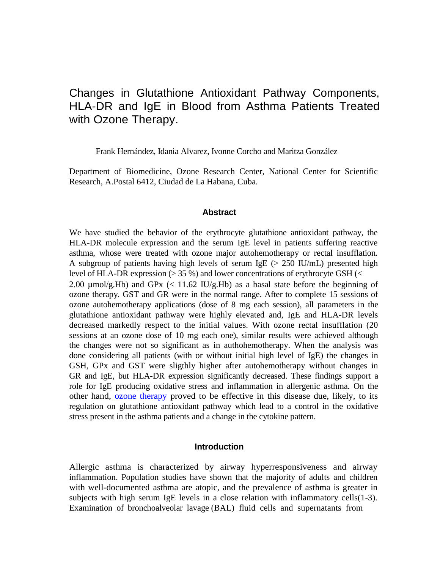# Changes in Glutathione Antioxidant Pathway Components, HLA-DR and IgE in Blood from Asthma Patients Treated with Ozone Therapy.

Frank Hernández, Idania Alvarez, Ivonne Corcho and Maritza González

Department of Biomedicine, Ozone Research Center, National Center for Scientific Research, A.Postal 6412, Ciudad de La Habana, Cuba.

#### **Abstract**

We have studied the behavior of the erythrocyte glutathione antioxidant pathway, the HLA-DR molecule expression and the serum IgE level in patients suffering reactive asthma, whose were treated with ozone major autohemotherapy or rectal insufflation. A subgroup of patients having high levels of serum IgE ( $> 250$  IU/mL) presented high level of HLA-DR expression (> 35 %) and lower concentrations of erythrocyte GSH (< 2.00  $\mu$ mol/g.Hb) and GPx (< 11.62 IU/g.Hb) as a basal state before the beginning of ozone therapy. GST and GR were in the normal range. After to complete 15 sessions of ozone autohemotherapy applications (dose of 8 mg each session), all parameters in the glutathione antioxidant pathway were highly elevated and, IgE and HLA-DR levels decreased markedly respect to the initial values. With ozone rectal insufflation (20 sessions at an ozone dose of 10 mg each one), similar results were achieved although the changes were not so significant as in authohemotherapy. When the analysis was done considering all patients (with or without initial high level of IgE) the changes in GSH, GPx and GST were sligthly higher after autohemotherapy without changes in GR and IgE, but HLA-DR expression significantly decreased. These findings support a role for IgE producing oxidative stress and inflammation in allergenic asthma. On the other hand, [ozone therapy](http://www.ozonemachine.org/) proved to be effective in this disease due, likely, to its regulation on glutathione antioxidant pathway which lead to a control in the oxidative stress present in the asthma patients and a change in the cytokine pattern.

### **Introduction**

Allergic asthma is characterized by airway hyperresponsiveness and airway inflammation. Population studies have shown that the majority of adults and children with well-documented asthma are atopic, and the prevalence of asthma is greater in subjects with high serum IgE levels in a close relation with inflammatory cells(1-3). Examination of bronchoalveolar lavage (BAL) fluid cells and supernatants from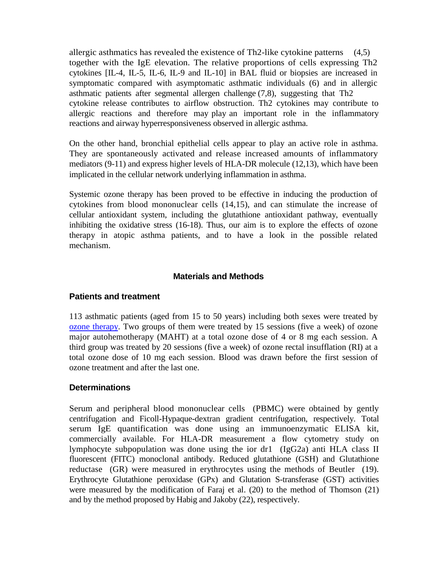allergic asthmatics has revealed the existence of Th2-like cytokine patterns (4,5) together with the IgE elevation. The relative proportions of cells expressing Th2 cytokines [IL-4, IL-5, IL-6, IL-9 and IL-10] in BAL fluid or biopsies are increased in symptomatic compared with asymptomatic asthmatic individuals (6) and in allergic asthmatic patients after segmental allergen challenge (7,8), suggesting that Th2 cytokine release contributes to airflow obstruction. Th2 cytokines may contribute to allergic reactions and therefore may play an important role in the inflammatory reactions and airway hyperresponsiveness observed in allergic asthma.

On the other hand, bronchial epithelial cells appear to play an active role in asthma. They are spontaneously activated and release increased amounts of inflammatory mediators (9-11) and express higher levels of HLA-DR molecule (12,13), which have been implicated in the cellular network underlying inflammation in asthma.

Systemic ozone therapy has been proved to be effective in inducing the production of cytokines from blood mononuclear cells (14,15), and can stimulate the increase of cellular antioxidant system, including the glutathione antioxidant pathway, eventually inhibiting the oxidative stress (16-18). Thus, our aim is to explore the effects of ozone therapy in atopic asthma patients, and to have a look in the possible related mechanism.

### **Materials and Methods**

### **Patients and treatment**

113 asthmatic patients (aged from 15 to 50 years) including both sexes were treated by [ozone therapy.](http://www.austinozone.com/) Two groups of them were treated by 15 sessions (five a week) of ozone major autohemotherapy (MAHT) at a total ozone dose of 4 or 8 mg each session. A third group was treated by 20 sessions (five a week) of ozone rectal insufflation (RI) at a total ozone dose of 10 mg each session. Blood was drawn before the first session of ozone treatment and after the last one.

### **Determinations**

Serum and peripheral blood mononuclear cells (PBMC) were obtained by gently centrifugation and Ficoll-Hypaque-dextran gradient centrifugation, respectively. Total serum IgE quantification was done using an immunoenzymatic ELISA kit, commercially available. For HLA-DR measurement a flow cytometry study on lymphocyte subpopulation was done using the ior dr1 (IgG2a) anti HLA class II fluorescent (FITC) monoclonal antibody. Reduced glutathione (GSH) and Glutathione reductase (GR) were measured in erythrocytes using the methods of Beutler (19). Erythrocyte Glutathione peroxidase (GPx) and Glutation S-transferase (GST) activities were measured by the modification of Faraj et al. (20) to the method of Thomson (21) and by the method proposed by Habig and Jakoby (22), respectively.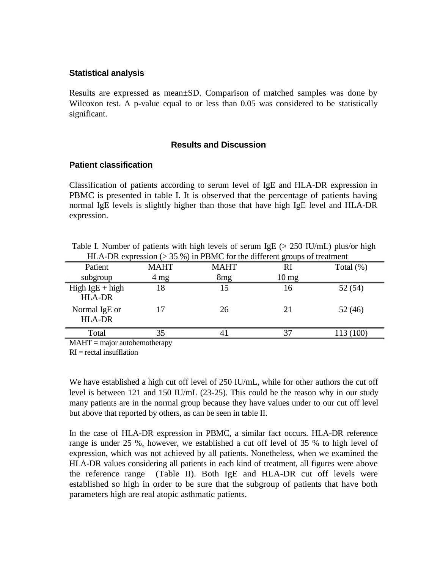#### **Statistical analysis**

Results are expressed as mean±SD. Comparison of matched samples was done by Wilcoxon test. A p-value equal to or less than 0.05 was considered to be statistically significant.

#### **Results and Discussion**

#### **Patient classification**

Classification of patients according to serum level of IgE and HLA-DR expression in PBMC is presented in table I. It is observed that the percentage of patients having normal IgE levels is slightly higher than those that have high IgE level and HLA-DR expression.

| HLA-DR expression ( $> 35\%$ ) in PBMC for the different groups of treatment |                |                 |                    |              |  |
|------------------------------------------------------------------------------|----------------|-----------------|--------------------|--------------|--|
| Patient                                                                      | <b>MAHT</b>    | <b>MAHT</b>     | RI                 | Total $(\%)$ |  |
| subgroup                                                                     | $4 \text{ mg}$ | 8 <sub>mg</sub> | $10 \,\mathrm{mg}$ |              |  |
| $High IgE + high$<br><b>HLA-DR</b>                                           | 18             | 15              | 16                 | 52 (54)      |  |
| Normal IgE or<br><b>HLA-DR</b>                                               | 17             | 26              | 21                 | 52(46)       |  |
| Total                                                                        | 35             |                 | 37                 | 113 (100)    |  |
| $MATIT$ $\cdots$ $\cdots$                                                    |                |                 |                    |              |  |

Table I. Number of patients with high levels of serum IgE ( $> 250$  IU/mL) plus/or high HLA-DR expression (> 35 %) in PBMC for the different groups of treatment

 $MAHT = \text{major}$  autohemotherapy

 $RI = rectal$  insufflation

We have established a high cut off level of 250 IU/mL, while for other authors the cut off level is between 121 and 150 IU/mL (23-25). This could be the reason why in our study many patients are in the normal group because they have values under to our cut off level but above that reported by others, as can be seen in table II.

In the case of HLA-DR expression in PBMC, a similar fact occurs. HLA-DR reference range is under 25 %, however, we established a cut off level of 35 % to high level of expression, which was not achieved by all patients. Nonetheless, when we examined the HLA-DR values considering all patients in each kind of treatment, all figures were above the reference range (Table II). Both IgE and HLA-DR cut off levels were established so high in order to be sure that the subgroup of patients that have both parameters high are real atopic asthmatic patients.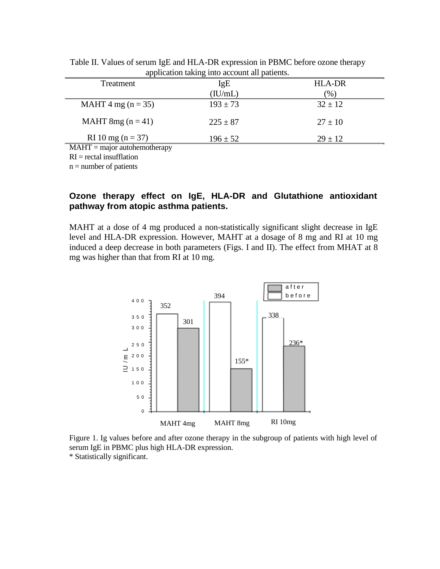| $\mathbf{r}$                   |              |               |
|--------------------------------|--------------|---------------|
| Treatment                      | IgE          | <b>HLA-DR</b> |
|                                | (IU/mL)      | $(\%)$        |
| MAHT 4 mg ( $n = 35$ )         | $193 \pm 73$ | $32 \pm 12$   |
| MAHT 8mg ( $n = 41$ )          | $225 \pm 87$ | $27 \pm 10$   |
| RI 10 mg ( $n = 37$ )          | $196 \pm 52$ | $29 \pm 12$   |
| $MAHT = major$ autohemotherapy |              |               |
| $PI = root$ incufflation       |              |               |

Table II. Values of serum IgE and HLA-DR expression in PBMC before ozone therapy application taking into account all patients.

 $RI = rectal$  insufflation

 $n =$  number of patients

## **Ozone therapy effect on IgE, HLA-DR and Glutathione antioxidant pathway from atopic asthma patients.**

MAHT at a dose of 4 mg produced a non-statistically significant slight decrease in IgE level and HLA-DR expression. However, MAHT at a dosage of 8 mg and RI at 10 mg induced a deep decrease in both parameters (Figs. I and II). The effect from MHAT at 8 mg was higher than that from RI at 10 mg.



Figure 1. Ig values before and after ozone therapy in the subgroup of patients with high level of serum IgE in PBMC plus high HLA-DR expression. \* Statistically significant.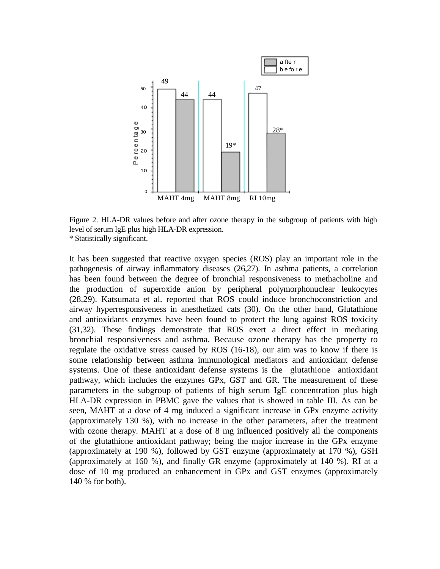

Figure 2. HLA-DR values before and after ozone therapy in the subgroup of patients with high level of serum IgE plus high HLA-DR expression. \* Statistically significant.

It has been suggested that reactive oxygen species (ROS) play an important role in the pathogenesis of airway inflammatory diseases (26,27). In asthma patients, a correlation has been found between the degree of bronchial responsiveness to methacholine and the production of superoxide anion by peripheral polymorphonuclear leukocytes (28,29). Katsumata et al. reported that ROS could induce bronchoconstriction and airway hyperresponsiveness in anesthetized cats (30). On the other hand, Glutathione and antioxidants enzymes have been found to protect the lung against ROS toxicity (31,32). These findings demonstrate that ROS exert a direct effect in mediating bronchial responsiveness and asthma. Because ozone therapy has the property to regulate the oxidative stress caused by ROS (16-18), our aim was to know if there is some relationship between asthma immunological mediators and antioxidant defense systems. One of these antioxidant defense systems is the glutathione antioxidant pathway, which includes the enzymes GPx, GST and GR. The measurement of these parameters in the subgroup of patients of high serum IgE concentration plus high HLA-DR expression in PBMC gave the values that is showed in table III. As can be seen, MAHT at a dose of 4 mg induced a significant increase in GPx enzyme activity (approximately 130 %), with no increase in the other parameters, after the treatment with ozone therapy. MAHT at a dose of 8 mg influenced positively all the components of the glutathione antioxidant pathway; being the major increase in the GPx enzyme (approximately at 190 %), followed by GST enzyme (approximately at 170 %), GSH (approximately at 160 %), and finally GR enzyme (approximately at 140 %). RI at a dose of 10 mg produced an enhancement in GPx and GST enzymes (approximately 140 % for both).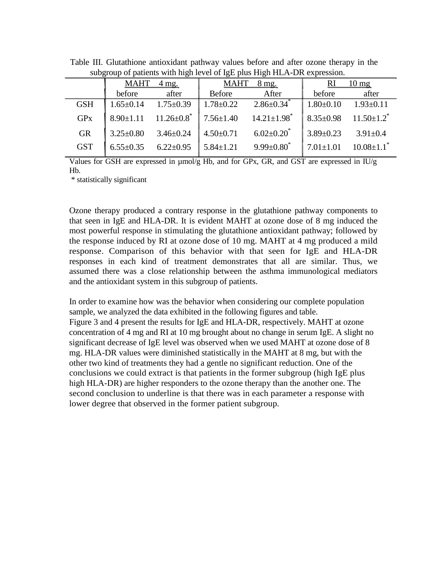|            | <b>MAHT</b><br>$4 \text{ mg}$ . |                                             | MAHT<br>8 mg.   |                                                                                                             | <b>RI</b><br>$10 \text{ mg}$                                                 |                              |
|------------|---------------------------------|---------------------------------------------|-----------------|-------------------------------------------------------------------------------------------------------------|------------------------------------------------------------------------------|------------------------------|
|            | before                          | after                                       | Before          | After                                                                                                       | before                                                                       | after                        |
| <b>GSH</b> | $1.65 \pm 0.14$ $1.75 \pm 0.39$ |                                             |                 | $1.78 \pm 0.22$ $2.86 \pm 0.34$ <sup>*</sup>                                                                | $1.80 \pm 0.10$ $1.93 \pm 0.11$                                              |                              |
| <b>GPx</b> |                                 |                                             |                 | $\begin{bmatrix} 8.90 \pm 1.11 & 11.26 \pm 0.8 \end{bmatrix}$ 7.56 $\pm 1.40$ 14.21 $\pm 1.98$ <sup>*</sup> | $\left[ \begin{array}{cc} 8.35 \pm 0.98 & 11.50 \pm 1.2 \end{array} \right]$ |                              |
| <b>GR</b>  | $3.25 \pm 0.80$ $3.46 \pm 0.24$ |                                             | $4.50 \pm 0.71$ | $6.02{\pm}0.20$                                                                                             | $3.89 \pm 0.23$                                                              | $3.91 \pm 0.4$               |
| <b>GST</b> |                                 | $6.55\pm0.35$ $6.22\pm0.95$   $5.84\pm1.21$ |                 | $9.99 \pm 0.80^*$                                                                                           | $7.01 \pm 1.01$                                                              | $10.08 \pm 1.1$ <sup>*</sup> |

Table III. Glutathione antioxidant pathway values before and after ozone therapy in the subgroup of patients with high level of IgE plus High HLA-DR expression.

Values for GSH are expressed in µmol/g Hb, and for GPx, GR, and GST are expressed in IU/g Hb.

\* statistically significant

Ozone therapy produced a contrary response in the glutathione pathway components to that seen in IgE and HLA-DR. It is evident MAHT at ozone dose of 8 mg induced the most powerful response in stimulating the glutathione antioxidant pathway; followed by the response induced by RI at ozone dose of 10 mg. MAHT at 4 mg produced a mild response. Comparison of this behavior with that seen for IgE and HLA-DR responses in each kind of treatment demonstrates that all are similar. Thus, we assumed there was a close relationship between the asthma immunological mediators and the antioxidant system in this subgroup of patients.

In order to examine how was the behavior when considering our complete population sample, we analyzed the data exhibited in the following figures and table. Figure 3 and 4 present the results for IgE and HLA-DR, respectively. MAHT at ozone concentration of 4 mg and RI at 10 mg brought about no change in serum IgE. A slight no significant decrease of IgE level was observed when we used MAHT at ozone dose of 8 mg. HLA-DR values were diminished statistically in the MAHT at 8 mg, but with the other two kind of treatments they had a gentle no significant reduction. One of the conclusions we could extract is that patients in the former subgroup (high IgE plus high HLA-DR) are higher responders to the ozone therapy than the another one. The second conclusion to underline is that there was in each parameter a response with lower degree that observed in the former patient subgroup.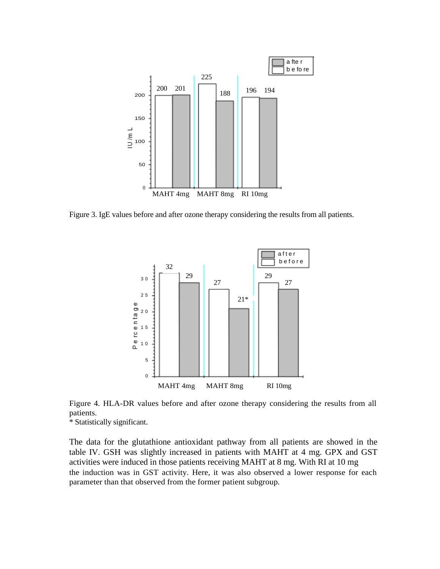

Figure 3. IgE values before and after ozone therapy considering the results from all patients.



Figure 4. HLA-DR values before and after ozone therapy considering the results from all patients.

\* Statistically significant.

The data for the glutathione antioxidant pathway from all patients are showed in the table IV. GSH was slightly increased in patients with MAHT at 4 mg. GPX and GST activities were induced in those patients receiving MAHT at 8 mg. With RI at 10 mg the induction was in GST activity. Here, it was also observed a lower response for each parameter than that observed from the former patient subgroup.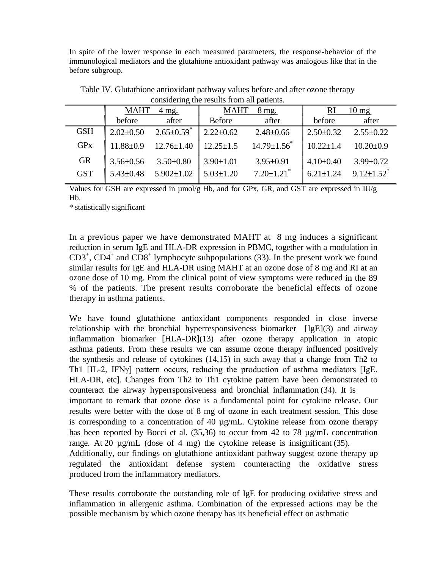In spite of the lower response in each measured parameters, the response-behavior of the immunological mediators and the glutahione antioxidant pathway was analogous like that in the before subgroup.

|            | <b>MAHT</b><br>$4$ mg. |                              | <b>MAHT</b><br>$8 \text{ mg}$ . |                              | <sup>RI</sup><br>$10 \,\mathrm{mg}$ |                              |
|------------|------------------------|------------------------------|---------------------------------|------------------------------|-------------------------------------|------------------------------|
|            | before                 | after                        | Before                          | after                        | before                              | after                        |
| <b>GSH</b> | $2.02 \pm 0.50$        | $2.65 \pm 0.59$ <sup>*</sup> | $2.22 \pm 0.62$                 | $2.48 \pm 0.66$              | $2.50 \pm 0.32$                     | $2.55 \pm 0.22$              |
| <b>GPx</b> | $11.88 \pm 0.9$        | $12.76 \pm 1.40$             | $12.25 \pm 1.5$                 | $14.79 \pm 1.56$             | $10.22 \pm 1.4$                     | $10.20 \pm 0.9$              |
| <b>GR</b>  | $3.56 \pm 0.56$        | $3.50\pm0.80$                | $3.90 \pm 1.01$                 | $3.95 \pm 0.91$              | $4.10\pm0.40$                       | $3.99 \pm 0.72$              |
| <b>GST</b> | $5.43 \pm 0.48$        | $5.902 \pm 1.02$             | $5.03 \pm 1.20$                 | $7.20 \pm 1.21$ <sup>*</sup> | $6.21 \pm 1.24$                     | $9.12 \pm 1.52$ <sup>*</sup> |
|            |                        |                              |                                 |                              |                                     |                              |

Table IV. Glutathione antioxidant pathway values before and after ozone therapy considering the results from all patients.

Values for GSH are expressed in µmol/g Hb, and for GPx, GR, and GST are expressed in IU/g Hb.

\* statistically significant

In a previous paper we have demonstrated MAHT at 8 mg induces a significant reduction in serum IgE and HLA-DR expression in PBMC, together with a modulation in  $CD3^+$ ,  $CD4^+$  and  $CD8^+$  lymphocyte subpopulations (33). In the present work we found similar results for IgE and HLA-DR using MAHT at an ozone dose of 8 mg and RI at an ozone dose of 10 mg. From the clinical point of view symptoms were reduced in the 89 % of the patients. The present results corroborate the beneficial effects of ozone therapy in asthma patients.

We have found glutathione antioxidant components responded in close inverse relationship with the bronchial hyperresponsiveness biomarker  $[IgE](3)$  and airway inflammation biomarker [HLA-DR](13) after ozone therapy application in atopic asthma patients. From these results we can assume ozone therapy influenced positively the synthesis and release of cytokines (14,15) in such away that a change from Th2 to Th1 [IL-2, IFNγ] pattern occurs, reducing the production of asthma mediators [IgE, HLA-DR, etc]. Changes from Th2 to Th1 cytokine pattern have been demonstrated to counteract the airway hyperrsponsiveness and bronchial inflammation (34). It is important to remark that ozone dose is a fundamental point for cytokine release. Our results were better with the dose of 8 mg of ozone in each treatment session. This dose is corresponding to a concentration of 40 µg/mL. Cytokine release from ozone therapy has been reported by Bocci et al. (35,36) to occur from 42 to 78  $\mu$ g/mL concentration range. At 20  $\mu$ g/mL (dose of 4 mg) the cytokine release is insignificant (35). Additionally, our findings on glutathione antioxidant pathway suggest ozone therapy up regulated the antioxidant defense system counteracting the oxidative stress

produced from the inflammatory mediators. These results corroborate the outstanding role of IgE for producing oxidative stress and inflammation in allergenic asthma. Combination of the expressed actions may be the

possible mechanism by which ozone therapy has its beneficial effect on asthmatic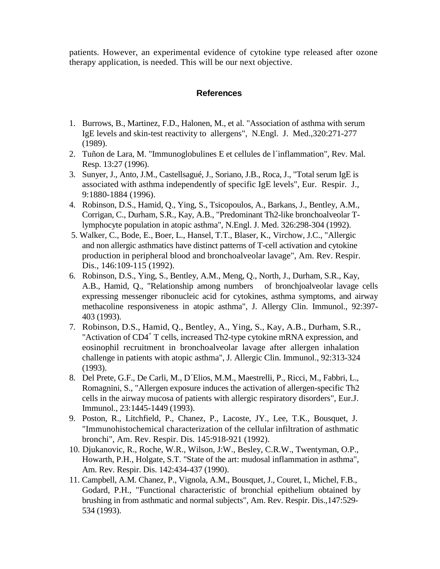patients. However, an experimental evidence of cytokine type released after ozone therapy application, is needed. This will be our next objective.

## **References**

- 1. Burrows, B., Martinez, F.D., Halonen, M., et al. "Association of asthma with serum IgE levels and skin-test reactivity to allergens", N.Engl. J. Med.,320:271-277 (1989).
- 2. Tuñon de Lara, M. "Immunoglobulines E et cellules de l´inflammation", Rev. Mal. Resp. 13:27 (1996).
- 3. Sunyer, J., Anto, J.M., Castellsagué, J., Soriano, J.B., Roca, J., "Total serum IgE is associated with asthma independently of specific IgE levels", Eur. Respir. J., 9:1880-1884 (1996).
- 4. Robinson, D.S., Hamid, Q., Ying, S., Tsicopoulos, A., Barkans, J., Bentley, A.M., Corrigan, C., Durham, S.R., Kay, A.B., "Predominant Th2-like bronchoalveolar Tlymphocyte population in atopic asthma", N.Engl. J. Med. 326:298-304 (1992).
- 5. Walker, C., Bode, E., Boer, L., Hansel, T.T., Blaser, K., Virchow, J.C., "Allergic and non allergic asthmatics have distinct patterns of T-cell activation and cytokine production in peripheral blood and bronchoalveolar lavage", Am. Rev. Respir. Dis., 146:109-115 (1992).
- 6. Robinson, D.S., Ying, S., Bentley, A.M., Meng, Q., North, J., Durham, S.R., Kay, A.B., Hamid, Q., "Relationship among numbers of bronchjoalveolar lavage cells expressing messenger ribonucleic acid for cytokines, asthma symptoms, and airway methacoline responsiveness in atopic asthma", J. Allergy Clin. Immunol., 92:397- 403 (1993).
- 7. Robinson, D.S., Hamid, Q., Bentley, A., Ying, S., Kay, A.B., Durham, S.R., "Activation of  $CD4^+$  T cells, increased Th2-type cytokine mRNA expression, and eosinophil recruitment in bronchoalveolar lavage after allergen inhalation challenge in patients with atopic asthma", J. Allergic Clin. Immunol., 92:313-324 (1993).
- 8. Del Prete, G.F., De Carli, M., D´Elios, M.M., Maestrelli, P., Ricci, M., Fabbri, L., Romagnini, S., "Allergen exposure induces the activation of allergen-specific Th2 cells in the airway mucosa of patients with allergic respiratory disorders", Eur.J. Immunol., 23:1445-1449 (1993).
- 9. Poston, R., Litchfield, P., Chanez, P., Lacoste, JY., Lee, T.K., Bousquet, J. "Immunohistochemical characterization of the cellular infiltration of asthmatic bronchi", Am. Rev. Respir. Dis. 145:918-921 (1992).
- 10. Djukanovic, R., Roche, W.R., Wilson, J:W., Besley, C.R.W., Twentyman, O.P., Howarth, P.H., Holgate, S.T. "State of the art: mudosal inflammation in asthma", Am. Rev. Respir. Dis. 142:434-437 (1990).
- 11. Campbell, A.M. Chanez, P., Vignola, A.M., Bousquet, J., Couret, I., Michel, F.B., Godard, P.H., "Functional characteristic of bronchial epithelium obtained by brushing in from asthmatic and normal subjects", Am. Rev. Respir. Dis.,147:529- 534 (1993).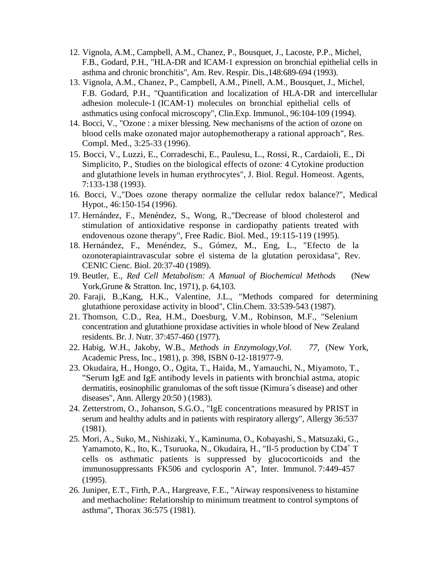- 12. Vignola, A.M., Campbell, A.M., Chanez, P., Bousquet, J., Lacoste, P.P., Michel, F.B., Godard, P.H., "HLA-DR and ICAM-1 expression on bronchial epithelial cells in asthma and chronic bronchitis", Am. Rev. Respir. Dis.,148:689-694 (1993).
- 13. Vignola, A.M., Chanez, P., Campbell, A.M., Pinell, A.M., Bousquet, J., Michel, F.B. Godard, P.H., "Quantification and localization of HLA-DR and intercellular adhesion molecule-1 (ICAM-1) molecules on bronchial epithelial cells of asthmatics using confocal microscopy", Clin.Exp. Immunol., 96:104-109 (1994).
- 14. Bocci, V., "Ozone : a mixer blessing. New mechanisms of the action of ozone on blood cells make ozonated major autophemotherapy a rational approach", Res. Compl. Med., 3:25-33 (1996).
- 15. Bocci, V., Luzzi, E., Corradeschi, E., Paulesu, L., Rossi, R., Cardaioli, E., Di Simplicito, P., Studies on the biological effects of ozone: 4 Cytokine production and glutathione levels in human erythrocytes", J. Biol. Regul. Homeost. Agents, 7:133-138 (1993).
- 16. Bocci, V.,"Does ozone therapy normalize the cellular redox balance?", Medical Hypot., 46:150-154 (1996).
- 17. Hernández, F., Menéndez, S., Wong, R.,"Decrease of blood cholesterol and stimulation of antioxidative response in cardiopathy patients treated with endovenous ozone therapy", Free Radic. Biol. Med., 19:115-119 (1995).
- 18. Hernández, F., Menéndez, S., Gómez, M., Eng, L., "Efecto de la ozonoterapiaintravascular sobre el sistema de la glutation peroxidasa", Rev. CENIC Cienc. Biol. 20:37-40 (1989).
- 19. Beutler, E., *Red Cell Metabolism: A Manual of Biochemical Methods* (New York,Grune & Stratton. Inc, 1971), p. 64,103.
- 20. Faraji, B.,Kang, H.K., Valentine, J.L., "Methods compared for determining glutathione peroxidase activity in blood", Clin.Chem. 33:539-543 (1987).
- 21. Thomson, C.D., Rea, H.M., Doesburg, V.M., Robinson, M.F., "Selenium concentration and glutathione proxidase activities in whole blood of New Zealand residents. Br. J. Nutr. 37:457-460 (1977).
- 22. Habig, W.H., Jakoby, W.B., *Methods in Enzymology,Vol. 77,* (New York, Academic Press, Inc., 1981), p. 398, ISBN 0-12-181977-9.
- 23. Okudaira, H., Hongo, O., Ogita, T., Haida, M., Yamauchi, N., Miyamoto, T., "Serum IgE and IgE antibody levels in patients with bronchial astma, atopic dermatitis, eosinophilic granulomas of the soft tissue (Kimura´s disease) and other diseases", Ann. Allergy 20:50 ) (1983).
- 24. Zetterstrom, O., Johanson, S.G.O., "IgE concentrations measured by PRIST in serum and healthy adults and in patients with respiratory allergy", Allergy 36:537 (1981).
- 25. Mori, A., Suko, M., Nishizaki, Y., Kaminuma, O., Kobayashi, S., Matsuzaki, G., Yamamoto, K., Ito, K., Tsuruoka, N., Okudaira, H., "Il-5 production by CD4<sup>+</sup> T cells os asthmatic patients is suppressed by glucocorticoids and the immunosuppressants FK506 and cyclosporin A", Inter. Immunol. 7:449-457  $(1995)$ .
- 26. Juniper, E.T., Firth, P.A., Hargreave, F.E., "Airway responsiveness to histamine and methacholine: Relationship to minimum treatment to control symptons of asthma", Thorax 36:575 (1981).